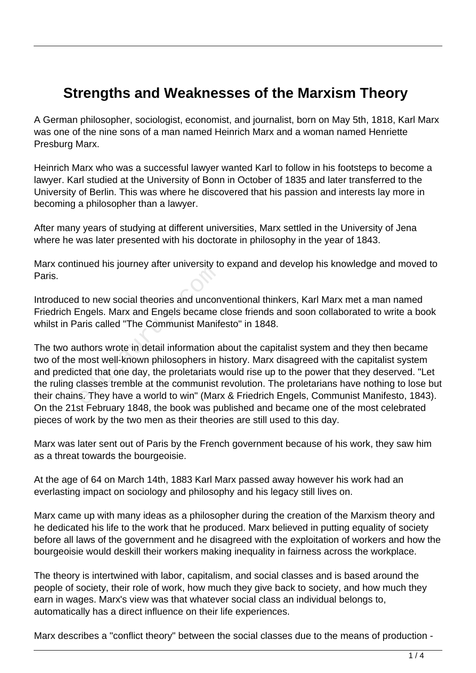## **Strengths and Weaknesses of the Marxism Theory**

A German philosopher, sociologist, economist, and journalist, born on May 5th, 1818, Karl Marx was one of the nine sons of a man named Heinrich Marx and a woman named Henriette Presburg Marx.

Heinrich Marx who was a successful lawyer wanted Karl to follow in his footsteps to become a lawyer. Karl studied at the University of Bonn in October of 1835 and later transferred to the University of Berlin. This was where he discovered that his passion and interests lay more in becoming a philosopher than a lawyer.

After many years of studying at different universities, Marx settled in the University of Jena where he was later presented with his doctorate in philosophy in the year of 1843.

Marx continued his journey after university to expand and develop his knowledge and moved to Paris.

Introduced to new social theories and unconventional thinkers, Karl Marx met a man named Friedrich Engels. Marx and Engels became close friends and soon collaborated to write a book whilst in Paris called "The Communist Manifesto" in 1848.

The two authors wrote in detail information about the capitalist system and they then became two of the most well-known philosophers in history. Marx disagreed with the capitalist system and predicted that one day, the proletariats would rise up to the power that they deserved. "Let the ruling classes tremble at the communist revolution. The proletarians have nothing to lose but their chains. They have a world to win" (Marx & Friedrich Engels, Communist Manifesto, 1843). On the 21st February 1848, the book was published and became one of the most celebrated pieces of work by the two men as their theories are still used to this day. educe the yearney and annually and any on-<br>ingels. Marx and Engels became<br>aris called "The Communist Manif-<br>uthors wrote in detail information a<br>most well-known philosophers in t<br>ted that one day, the proletariats v<br>classe

Marx was later sent out of Paris by the French government because of his work, they saw him as a threat towards the bourgeoisie.

At the age of 64 on March 14th, 1883 Karl Marx passed away however his work had an everlasting impact on sociology and philosophy and his legacy still lives on.

Marx came up with many ideas as a philosopher during the creation of the Marxism theory and he dedicated his life to the work that he produced. Marx believed in putting equality of society before all laws of the government and he disagreed with the exploitation of workers and how the bourgeoisie would deskill their workers making inequality in fairness across the workplace.

The theory is intertwined with labor, capitalism, and social classes and is based around the people of society, their role of work, how much they give back to society, and how much they earn in wages. Marx's view was that whatever social class an individual belongs to, automatically has a direct influence on their life experiences.

Marx describes a "conflict theory" between the social classes due to the means of production -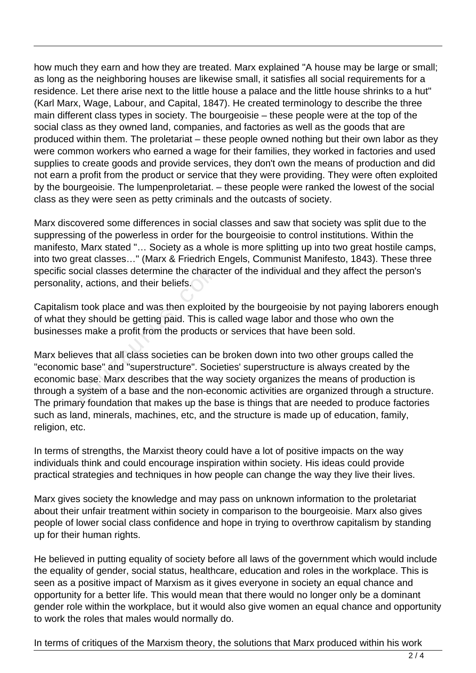how much they earn and how they are treated. Marx explained "A house may be large or small; as long as the neighboring houses are likewise small, it satisfies all social requirements for a residence. Let there arise next to the little house a palace and the little house shrinks to a hut" (Karl Marx, Wage, Labour, and Capital, 1847). He created terminology to describe the three main different class types in society. The bourgeoisie – these people were at the top of the social class as they owned land, companies, and factories as well as the goods that are produced within them. The proletariat – these people owned nothing but their own labor as they were common workers who earned a wage for their families, they worked in factories and used supplies to create goods and provide services, they don't own the means of production and did not earn a profit from the product or service that they were providing. They were often exploited by the bourgeoisie. The lumpenproletariat. – these people were ranked the lowest of the social class as they were seen as petty criminals and the outcasts of society.

Marx discovered some differences in social classes and saw that society was split due to the suppressing of the powerless in order for the bourgeoisie to control institutions. Within the manifesto, Marx stated "… Society as a whole is more splitting up into two great hostile camps, into two great classes…" (Marx & Friedrich Engels, Communist Manifesto, 1843). These three specific social classes determine the character of the individual and they affect the person's personality, actions, and their beliefs.

Capitalism took place and was then exploited by the bourgeoisie by not paying laborers enough of what they should be getting paid. This is called wage labor and those who own the businesses make a profit from the products or services that have been sold.

Marx believes that all class societies can be broken down into two other groups called the "economic base" and "superstructure". Societies' superstructure is always created by the economic base. Marx describes that the way society organizes the means of production is through a system of a base and the non-economic activities are organized through a structure. The primary foundation that makes up the base is things that are needed to produce factories such as land, minerals, machines, etc, and the structure is made up of education, family, religion, etc. cial classes determine the charac<br>
, actions, and their beliefs.<br>
took place and was then exploite<br>
ey should be getting paid. This is c<br>
s make a profit from the products<br>
ves that all class societies can be<br>
base" and "s

In terms of strengths, the Marxist theory could have a lot of positive impacts on the way individuals think and could encourage inspiration within society. His ideas could provide practical strategies and techniques in how people can change the way they live their lives.

Marx gives society the knowledge and may pass on unknown information to the proletariat about their unfair treatment within society in comparison to the bourgeoisie. Marx also gives people of lower social class confidence and hope in trying to overthrow capitalism by standing up for their human rights.

He believed in putting equality of society before all laws of the government which would include the equality of gender, social status, healthcare, education and roles in the workplace. This is seen as a positive impact of Marxism as it gives everyone in society an equal chance and opportunity for a better life. This would mean that there would no longer only be a dominant gender role within the workplace, but it would also give women an equal chance and opportunity to work the roles that males would normally do.

In terms of critiques of the Marxism theory, the solutions that Marx produced within his work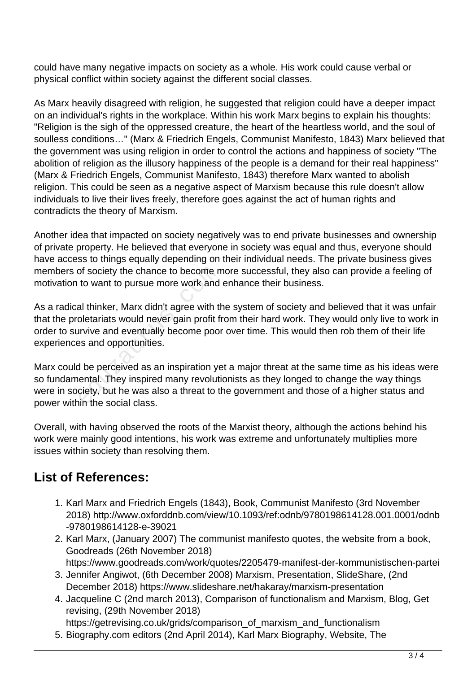could have many negative impacts on society as a whole. His work could cause verbal or physical conflict within society against the different social classes.

As Marx heavily disagreed with religion, he suggested that religion could have a deeper impact on an individual's rights in the workplace. Within his work Marx begins to explain his thoughts: "Religion is the sigh of the oppressed creature, the heart of the heartless world, and the soul of soulless conditions…" (Marx & Friedrich Engels, Communist Manifesto, 1843) Marx believed that the government was using religion in order to control the actions and happiness of society "The abolition of religion as the illusory happiness of the people is a demand for their real happiness" (Marx & Friedrich Engels, Communist Manifesto, 1843) therefore Marx wanted to abolish religion. This could be seen as a negative aspect of Marxism because this rule doesn't allow individuals to live their lives freely, therefore goes against the act of human rights and contradicts the theory of Marxism.

Another idea that impacted on society negatively was to end private businesses and ownership of private property. He believed that everyone in society was equal and thus, everyone should have access to things equally depending on their individual needs. The private business gives members of society the chance to become more successful, they also can provide a feeling of motivation to want to pursue more work and enhance their business.

As a radical thinker, Marx didn't agree with the system of society and believed that it was unfair that the proletariats would never gain profit from their hard work. They would only live to work in order to survive and eventually become poor over time. This would then rob them of their life experiences and opportunities. of society the chance to become n<br>to want to pursue more work and<br>al thinker, Marx didn't agree with th<br>oletariats would never gain profit f<br>irvive and eventually become poo<br>es and opportunities.<br>A be perceived as an inspi

Marx could be perceived as an inspiration yet a major threat at the same time as his ideas were so fundamental. They inspired many revolutionists as they longed to change the way things were in society, but he was also a threat to the government and those of a higher status and power within the social class.

Overall, with having observed the roots of the Marxist theory, although the actions behind his work were mainly good intentions, his work was extreme and unfortunately multiplies more issues within society than resolving them.

## **List of References:**

- 1. Karl Marx and Friedrich Engels (1843), Book, Communist Manifesto (3rd November 2018) http://www.oxforddnb.com/view/10.1093/ref:odnb/9780198614128.001.0001/odnb -9780198614128-e-39021
- 2. Karl Marx, (January 2007) The communist manifesto quotes, the website from a book, Goodreads (26th November 2018) https://www.goodreads.com/work/quotes/2205479-manifest-der-kommunistischen-partei
- 3. Jennifer Angiwot, (6th December 2008) Marxism, Presentation, SlideShare, (2nd December 2018) https://www.slideshare.net/hakaray/marxism-presentation
- 4. Jacqueline C (2nd march 2013), Comparison of functionalism and Marxism, Blog, Get revising, (29th November 2018) https://getrevising.co.uk/grids/comparison\_of\_marxism\_and\_functionalism

5. Biography.com editors (2nd April 2014), Karl Marx Biography, Website, The